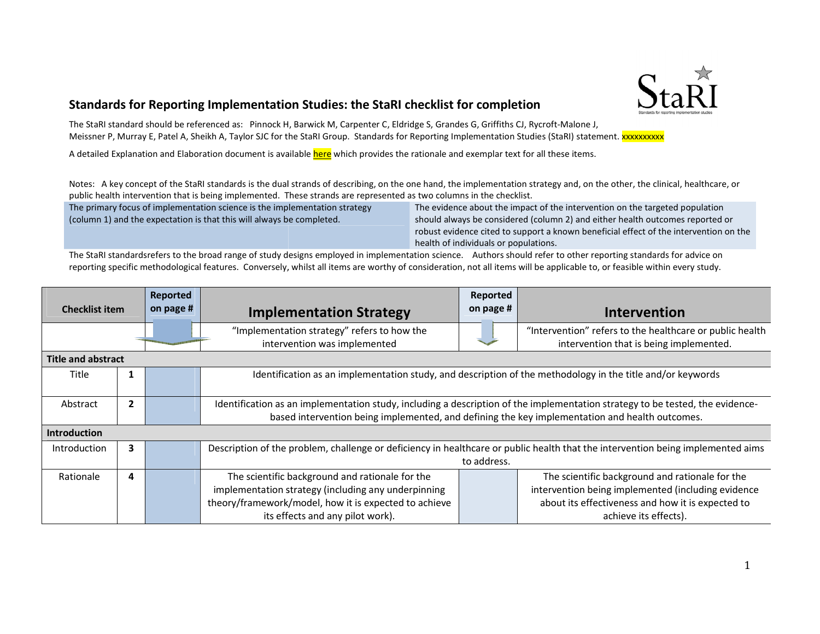

## Standards for Reporting Implementation Studies: the StaRI checklist for completion

The StaRI standard should be referenced as: Pinnock H, Barwick M, Carpenter C, Eldridge S, Grandes G, Griffiths CJ, Rycroft-Malone J, Meissner P, Murray E, Patel A, Sheikh A, Taylor SJC for the StaRI Group. Standards for Reporting Implementation Studies (StaRI) statement. XXXXXXXXXX

A detailed Explanation and Elaboration document is available <mark>here</mark> which provides the rationale and exemplar text for all these items.

Notes: A key concept of the StaRI standards is the dual strands of describing, on the one hand, the implementation strategy and, on the other, the clinical, healthcare, or<br>public health intervention that is being implement public health intervention that is being implemented. These strands are represented as two columns in the checklist.

The primary focus of implementation science is the implementation strategy (column 1) and the expectation is that this will always be completed.

/ focus of implementation science is the implementation strategy and The evidence about the impact of the intervention on the targeted population<br>and the expectation is that this will always be completed. And always be con robust evidence cited to support a known beneficial effect of the intervention on the health of individuals or populations. The evidence about the impact of the intervention on the targeted population 2) and either health outcomes reported<br>own beneficial effect of the intervention<br>o other reporting standards for advice on<br>licable to, or feasible within every study.

The StaRI standardsrefers to the broad range of study designs employed in implementation science. Authors should refer to other reporting standards for advice on reporting specific methodological features. Conversely, whilst all items are worthy of consideration, not all items will be applicable to

| <b>Checklist item</b>     |                | Reported  |                                                                                                                                 | Reported  |                                                          |  |  |  |
|---------------------------|----------------|-----------|---------------------------------------------------------------------------------------------------------------------------------|-----------|----------------------------------------------------------|--|--|--|
|                           |                | on page # | <b>Implementation Strategy</b>                                                                                                  | on page # | Intervention                                             |  |  |  |
|                           |                |           | "Implementation strategy" refers to how the                                                                                     |           | "Intervention" refers to the healthcare or public health |  |  |  |
|                           |                |           | intervention was implemented                                                                                                    |           | intervention that is being implemented.                  |  |  |  |
| <b>Title and abstract</b> |                |           |                                                                                                                                 |           |                                                          |  |  |  |
| <b>Title</b>              |                |           | Identification as an implementation study, and description of the methodology in the title and/or keywords                      |           |                                                          |  |  |  |
|                           |                |           |                                                                                                                                 |           |                                                          |  |  |  |
| Abstract                  | $\overline{2}$ |           | Identification as an implementation study, including a description of the implementation strategy to be tested, the evidence-   |           |                                                          |  |  |  |
|                           |                |           | based intervention being implemented, and defining the key implementation and health outcomes.                                  |           |                                                          |  |  |  |
| <b>Introduction</b>       |                |           |                                                                                                                                 |           |                                                          |  |  |  |
| Introduction              | 3              |           | Description of the problem, challenge or deficiency in healthcare or public health that the intervention being implemented aims |           |                                                          |  |  |  |
|                           |                |           | to address.                                                                                                                     |           |                                                          |  |  |  |
| Rationale                 | 4              |           | The scientific background and rationale for the                                                                                 |           | The scientific background and rationale for the          |  |  |  |
|                           |                |           | implementation strategy (including any underpinning                                                                             |           | intervention being implemented (including evidence       |  |  |  |
|                           |                |           | theory/framework/model, how it is expected to achieve                                                                           |           | about its effectiveness and how it is expected to        |  |  |  |
|                           |                |           | its effects and any pilot work).                                                                                                |           | achieve its effects).                                    |  |  |  |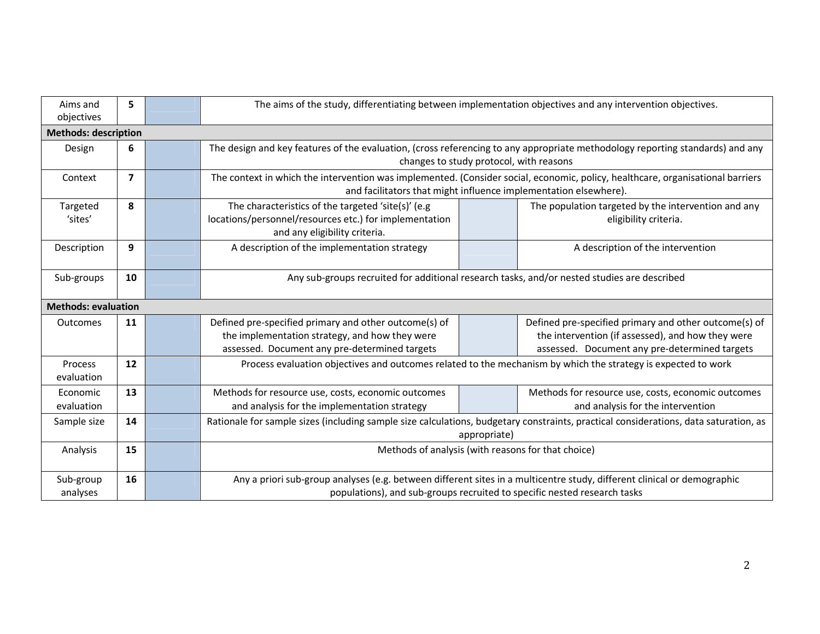| Aims and<br>objectives       | 5              |  | The aims of the study, differentiating between implementation objectives and any intervention objectives.                                                                                           |  |                                                                                                                                                             |  |  |  |
|------------------------------|----------------|--|-----------------------------------------------------------------------------------------------------------------------------------------------------------------------------------------------------|--|-------------------------------------------------------------------------------------------------------------------------------------------------------------|--|--|--|
| <b>Methods: description</b>  |                |  |                                                                                                                                                                                                     |  |                                                                                                                                                             |  |  |  |
| Design                       | 6              |  | The design and key features of the evaluation, (cross referencing to any appropriate methodology reporting standards) and any<br>changes to study protocol, with reasons                            |  |                                                                                                                                                             |  |  |  |
| Context                      | $\overline{7}$ |  | The context in which the intervention was implemented. (Consider social, economic, policy, healthcare, organisational barriers<br>and facilitators that might influence implementation elsewhere).  |  |                                                                                                                                                             |  |  |  |
| Targeted<br>'sites'          | 8              |  | The characteristics of the targeted 'site(s)' (e.g<br>locations/personnel/resources etc.) for implementation<br>and any eligibility criteria.                                                       |  | The population targeted by the intervention and any<br>eligibility criteria.                                                                                |  |  |  |
| Description                  | 9              |  | A description of the implementation strategy                                                                                                                                                        |  | A description of the intervention                                                                                                                           |  |  |  |
| Sub-groups                   | 10             |  | Any sub-groups recruited for additional research tasks, and/or nested studies are described                                                                                                         |  |                                                                                                                                                             |  |  |  |
| <b>Methods: evaluation</b>   |                |  |                                                                                                                                                                                                     |  |                                                                                                                                                             |  |  |  |
| Outcomes                     | 11             |  | Defined pre-specified primary and other outcome(s) of<br>the implementation strategy, and how they were<br>assessed. Document any pre-determined targets                                            |  | Defined pre-specified primary and other outcome(s) of<br>the intervention (if assessed), and how they were<br>assessed. Document any pre-determined targets |  |  |  |
| <b>Process</b><br>evaluation | 12             |  | Process evaluation objectives and outcomes related to the mechanism by which the strategy is expected to work                                                                                       |  |                                                                                                                                                             |  |  |  |
| Economic<br>evaluation       | 13             |  | Methods for resource use, costs, economic outcomes<br>and analysis for the implementation strategy                                                                                                  |  | Methods for resource use, costs, economic outcomes<br>and analysis for the intervention                                                                     |  |  |  |
| Sample size                  | 14             |  | Rationale for sample sizes (including sample size calculations, budgetary constraints, practical considerations, data saturation, as<br>appropriate)                                                |  |                                                                                                                                                             |  |  |  |
| Analysis                     | 15             |  | Methods of analysis (with reasons for that choice)                                                                                                                                                  |  |                                                                                                                                                             |  |  |  |
| Sub-group<br>analyses        | 16             |  | Any a priori sub-group analyses (e.g. between different sites in a multicentre study, different clinical or demographic<br>populations), and sub-groups recruited to specific nested research tasks |  |                                                                                                                                                             |  |  |  |